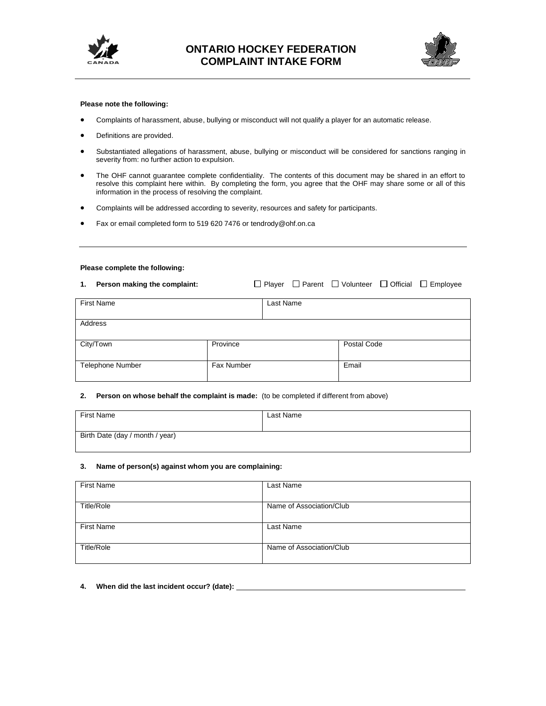



## **Please note the following:**

- Complaints of harassment, abuse, bullying or misconduct will not qualify a player for an automatic release.
- Definitions are provided.
- Substantiated allegations of harassment, abuse, bullying or misconduct will be considered for sanctions ranging in severity from: no further action to expulsion.
- The OHF cannot guarantee complete confidentiality. The contents of this document may be shared in an effort to resolve this complaint here within. By completing the form, you agree that the OHF may share some or all of this information in the process of resolving the complaint.
- Complaints will be addressed according to severity, resources and safety for participants.
- Fax or email completed form to 519 620 7476 or tendrody@ohf.on.ca

#### **Please complete the following:**

| Person making the complaint:<br>1. |            |           |             | $\Box$ Player $\Box$ Parent $\Box$ Volunteer $\Box$ Official $\Box$ Employee |
|------------------------------------|------------|-----------|-------------|------------------------------------------------------------------------------|
| <b>First Name</b>                  |            | Last Name |             |                                                                              |
| Address                            |            |           |             |                                                                              |
| City/Town                          | Province   |           | Postal Code |                                                                              |
| <b>Telephone Number</b>            | Fax Number |           | Email       |                                                                              |

## **2. Person on whose behalf the complaint is made:** (to be completed if different from above)

| <b>First Name</b>               | Last Name |
|---------------------------------|-----------|
| Birth Date (day / month / year) |           |

## **3. Name of person(s) against whom you are complaining:**

| <b>First Name</b> | Last Name                |
|-------------------|--------------------------|
| <b>Title/Role</b> | Name of Association/Club |
|                   |                          |
| <b>First Name</b> | Last Name                |
|                   |                          |
| Title/Role        | Name of Association/Club |
|                   |                          |

**4. When did the last incident occur? (date):**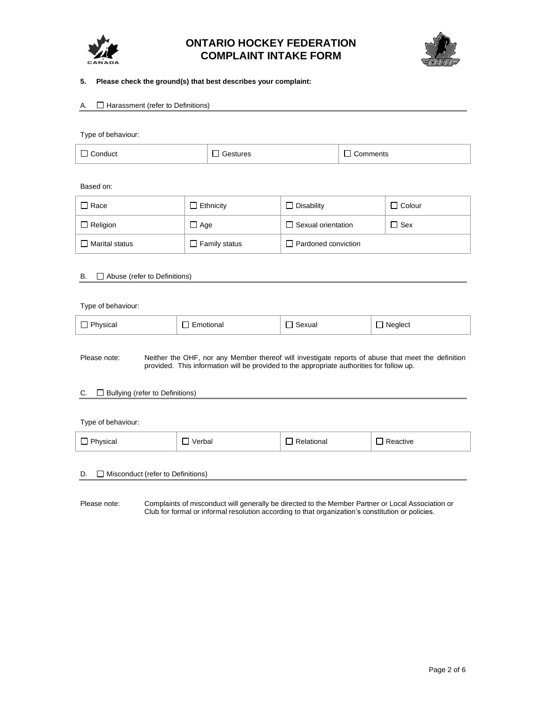



## **5. Please check the ground(s) that best describes your complaint:**

## A.  $\Box$  Harassment (refer to Definitions)

Type of behaviour:

| $\Box$ Conduct | <b>□ Gestures</b> | $\Box$ Comments |
|----------------|-------------------|-----------------|
|                |                   |                 |

Based on:

| $\Box$ Race     | Ethnicity            | $\Box$ Disability          | $\Box$ Colour |
|-----------------|----------------------|----------------------------|---------------|
| $\Box$ Religion | Age                  | $\Box$ Sexual orientation  | ⊿l Sex        |
| Marital status  | $\Box$ Family status | $\Box$ Pardoned conviction |               |

## B. Abuse (refer to Definitions)

| Type of behaviour: |             |        |         |
|--------------------|-------------|--------|---------|
| $\Box$ Physical    | ∃ Emotional | Sexual | Neglect |
|                    |             |        |         |

Please note: Neither the OHF, nor any Member thereof will investigate reports of abuse that meet the definition provided. This information will be provided to the appropriate authorities for follow up.

## C. □ Bullying (refer to Definitions)

Type of behaviour:  $\Box$  Physical  $\Box$  Verbal  $\Box$  Relational  $\Box$  Reactive

## D. Misconduct (refer to Definitions)

Please note: Complaints of misconduct will generally be directed to the Member Partner or Local Association or Club for formal or informal resolution according to that organization's constitution or policies.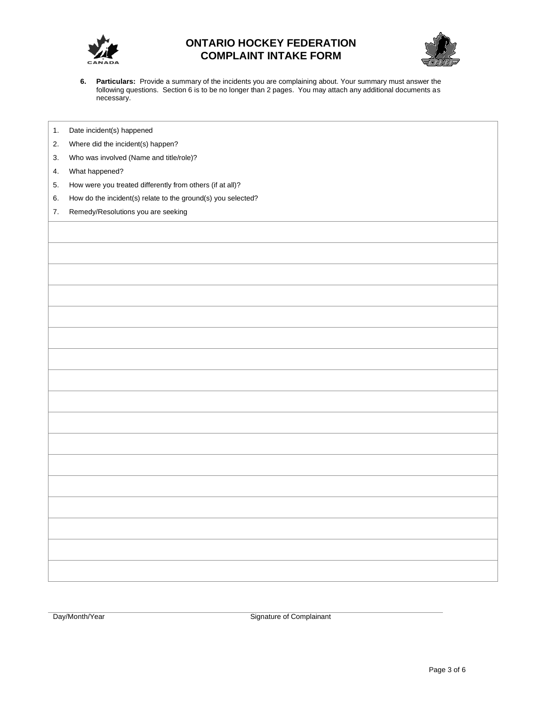



**6. Particulars:** Provide a summary of the incidents you are complaining about. Your summary must answer the following questions. Section 6 is to be no longer than 2 pages. You may attach any additional documents as necessary.

|  | Date incident(s) happened |  |
|--|---------------------------|--|
|--|---------------------------|--|

- 2. Where did the incident(s) happen?
- 3. Who was involved (Name and title/role)?
- 4. What happened?
- 5. How were you treated differently from others (if at all)?
- 6. How do the incident(s) relate to the ground(s) you selected?
- 7. Remedy/Resolutions you are seeking

Day/Month/Year Signature of Complainant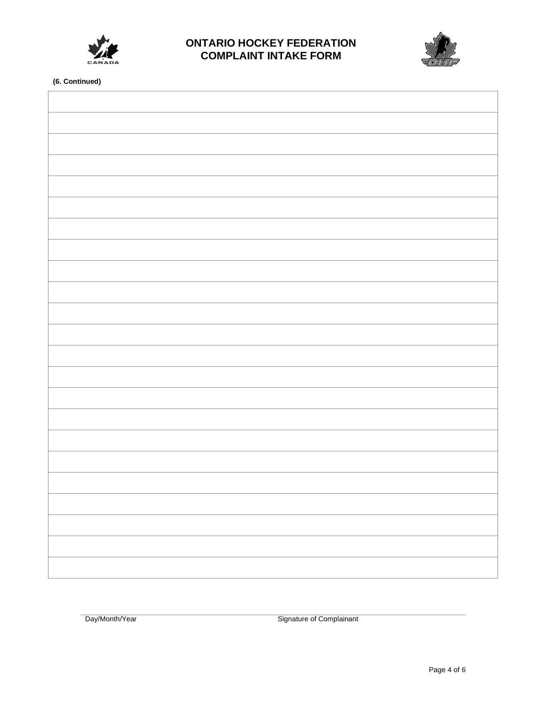



**(6. Continued)**

Day/Month/Year Signature of Complainant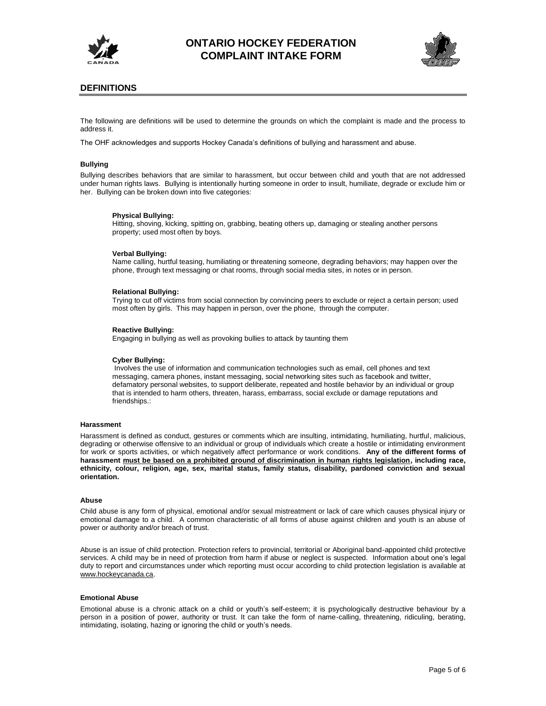



## **DEFINITIONS**

The following are definitions will be used to determine the grounds on which the complaint is made and the process to address it.

The OHF acknowledges and supports Hockey Canada's definitions of bullying and harassment and abuse.

#### **Bullying**

Bullying describes behaviors that are similar to harassment, but occur between child and youth that are not addressed under human rights laws. Bullying is intentionally hurting someone in order to insult, humiliate, degrade or exclude him or her. Bullying can be broken down into five categories:

#### **Physical Bullying:**

Hitting, shoving, kicking, spitting on, grabbing, beating others up, damaging or stealing another persons property; used most often by boys.

#### **Verbal Bullying:**

Name calling, hurtful teasing, humiliating or threatening someone, degrading behaviors; may happen over the phone, through text messaging or chat rooms, through social media sites, in notes or in person.

#### **Relational Bullying:**

Trying to cut off victims from social connection by convincing peers to exclude or reject a certain person; used most often by girls. This may happen in person, over the phone, through the computer.

#### **Reactive Bullying:**

Engaging in bullying as well as provoking bullies to attack by taunting them

#### **Cyber Bullying:**

Involves the use of information and communication technologies such as email, cell phones and text messaging, camera phones, instant messaging, social networking sites such as facebook and twitter, defamatory personal websites, to support deliberate, repeated and hostile behavior by an individual or group that is intended to harm others, threaten, harass, embarrass, social exclude or damage reputations and friendships.:

#### **Harassment**

Harassment is defined as conduct, gestures or comments which are insulting, intimidating, humiliating, hurtful, malicious, degrading or otherwise offensive to an individual or group of individuals which create a hostile or intimidating environment for work or sports activities, or which negatively affect performance or work conditions. **Any of the different forms of harassment must be based on a prohibited ground of discrimination in human rights legislation, including race, ethnicity, colour, religion, age, sex, marital status, family status, disability, pardoned conviction and sexual orientation.** 

#### **Abuse**

Child abuse is any form of physical, emotional and/or sexual mistreatment or lack of care which causes physical injury or emotional damage to a child. A common characteristic of all forms of abuse against children and youth is an abuse of power or authority and/or breach of trust.

Abuse is an issue of child protection. Protection refers to provincial, territorial or Aboriginal band-appointed child protective services. A child may be in need of protection from harm if abuse or neglect is suspected. Information about one's legal duty to report and circumstances under which reporting must occur according to child protection legislation is available at [www.hockeycanada.ca.](http://www.hockeycanada.ca/)

#### **Emotional Abuse**

Emotional abuse is a chronic attack on a child or youth's self-esteem; it is psychologically destructive behaviour by a person in a position of power, authority or trust. It can take the form of name-calling, threatening, ridiculing, berating, intimidating, isolating, hazing or ignoring the child or youth's needs.